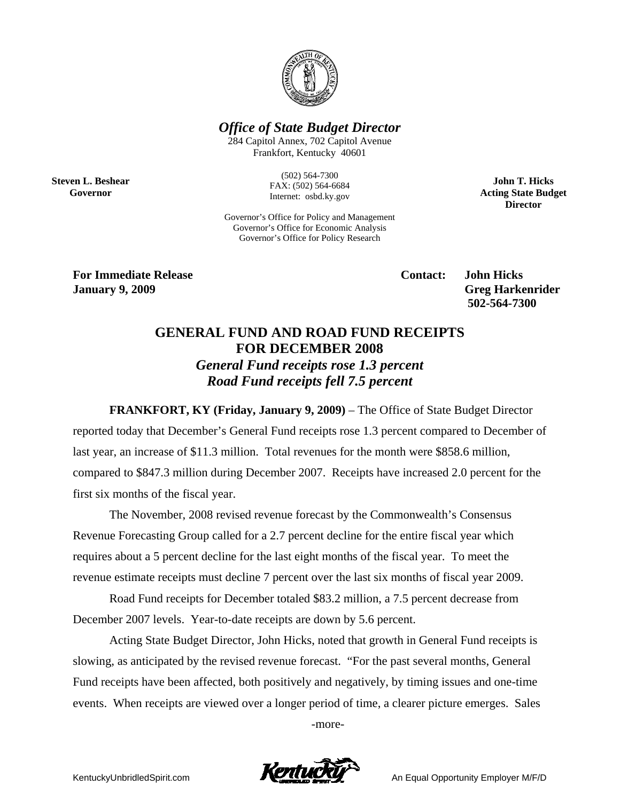

## *Office of State Budget Director*

284 Capitol Annex, 702 Capitol Avenue Frankfort, Kentucky 40601

> (502) 564-7300 FAX: (502) 564-6684 Internet: osbd.ky.gov

Governor's Office for Policy and Management Governor's Office for Economic Analysis Governor's Office for Policy Research

**John T. Hicks Acting State Budget Director** 

**For Immediate Release Contact: John Hicks** 

**Steven L. Beshear Governor** 

**January 9, 2009 Greg Harkenrider 502-564-7300** 

# **GENERAL FUND AND ROAD FUND RECEIPTS FOR DECEMBER 2008**  *General Fund receipts rose 1.3 percent Road Fund receipts fell 7.5 percent*

**FRANKFORT, KY (Friday, January 9, 2009)** – The Office of State Budget Director reported today that December's General Fund receipts rose 1.3 percent compared to December of last year, an increase of \$11.3 million. Total revenues for the month were \$858.6 million, compared to \$847.3 million during December 2007. Receipts have increased 2.0 percent for the first six months of the fiscal year.

The November, 2008 revised revenue forecast by the Commonwealth's Consensus Revenue Forecasting Group called for a 2.7 percent decline for the entire fiscal year which requires about a 5 percent decline for the last eight months of the fiscal year. To meet the revenue estimate receipts must decline 7 percent over the last six months of fiscal year 2009.

Road Fund receipts for December totaled \$83.2 million, a 7.5 percent decrease from December 2007 levels. Year-to-date receipts are down by 5.6 percent.

Acting State Budget Director, John Hicks, noted that growth in General Fund receipts is slowing, as anticipated by the revised revenue forecast. "For the past several months, General Fund receipts have been affected, both positively and negatively, by timing issues and one-time events. When receipts are viewed over a longer period of time, a clearer picture emerges. Sales

-more-

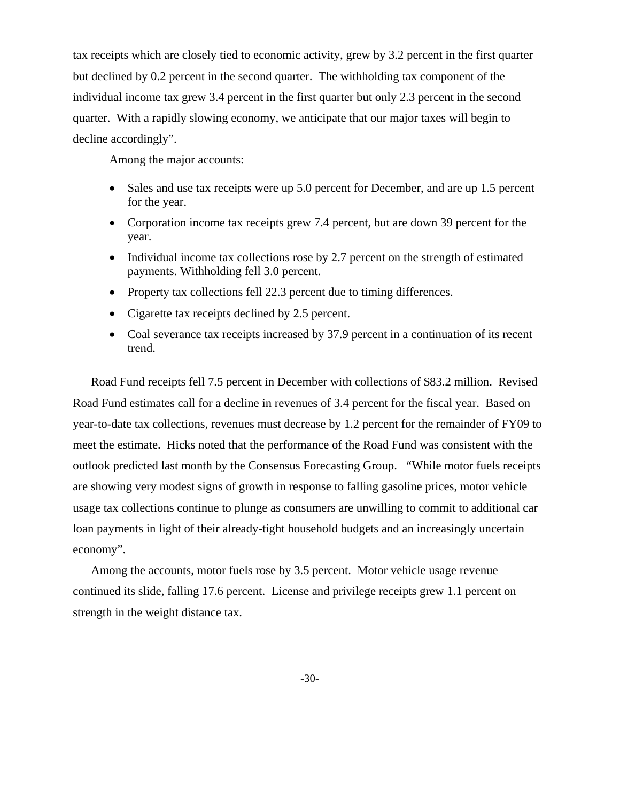tax receipts which are closely tied to economic activity, grew by 3.2 percent in the first quarter but declined by 0.2 percent in the second quarter. The withholding tax component of the individual income tax grew 3.4 percent in the first quarter but only 2.3 percent in the second quarter. With a rapidly slowing economy, we anticipate that our major taxes will begin to decline accordingly".

Among the major accounts:

- Sales and use tax receipts were up 5.0 percent for December, and are up 1.5 percent for the year.
- Corporation income tax receipts grew 7.4 percent, but are down 39 percent for the year.
- Individual income tax collections rose by 2.7 percent on the strength of estimated payments. Withholding fell 3.0 percent.
- Property tax collections fell 22.3 percent due to timing differences.
- Cigarette tax receipts declined by 2.5 percent.
- Coal severance tax receipts increased by 37.9 percent in a continuation of its recent trend.

Road Fund receipts fell 7.5 percent in December with collections of \$83.2 million. Revised Road Fund estimates call for a decline in revenues of 3.4 percent for the fiscal year. Based on year-to-date tax collections, revenues must decrease by 1.2 percent for the remainder of FY09 to meet the estimate. Hicks noted that the performance of the Road Fund was consistent with the outlook predicted last month by the Consensus Forecasting Group. "While motor fuels receipts are showing very modest signs of growth in response to falling gasoline prices, motor vehicle usage tax collections continue to plunge as consumers are unwilling to commit to additional car loan payments in light of their already-tight household budgets and an increasingly uncertain economy".

Among the accounts, motor fuels rose by 3.5 percent. Motor vehicle usage revenue continued its slide, falling 17.6 percent. License and privilege receipts grew 1.1 percent on strength in the weight distance tax.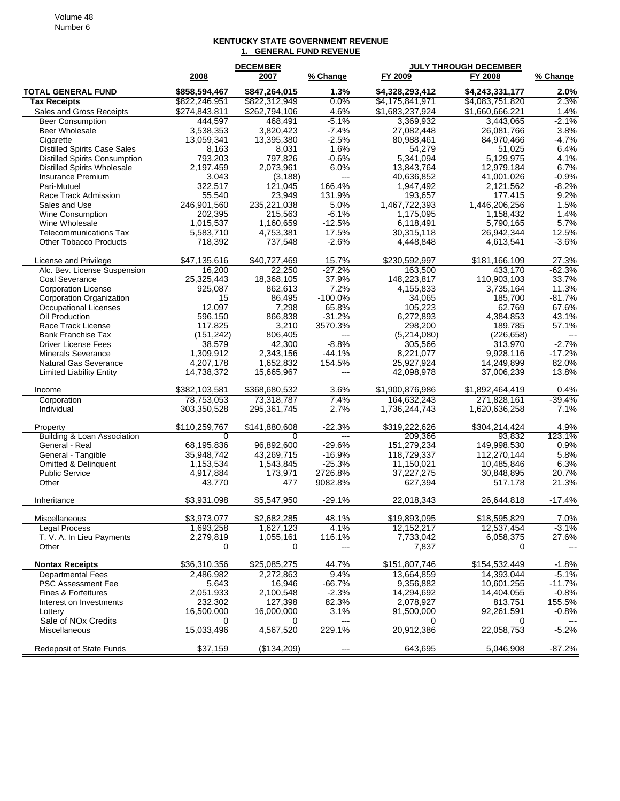#### Volume 48 Number 6

#### **KENTUCKY STATE GOVERNMENT REVENUE 1. GENERAL FUND REVENUE**

|                                                  | <b>DECEMBER</b>        |                        |                           | <b>JULY THROUGH DECEMBER</b> |                        |              |
|--------------------------------------------------|------------------------|------------------------|---------------------------|------------------------------|------------------------|--------------|
|                                                  | 2008                   | 2007                   | % Change                  | FY 2009                      | <b>FY 2008</b>         | % Change     |
| <b>TOTAL GENERAL FUND</b>                        | \$858,594,467          | \$847,264,015          | 1.3%                      | \$4,328,293,412              | \$4,243,331,177        | 2.0%         |
| <b>Tax Receipts</b>                              | \$822,246,951          | \$822,312,949          | 0.0%                      | \$4,175,841,971              | \$4,083,751,820        | 2.3%         |
| Sales and Gross Receipts                         | \$274,843,811          | \$262,794,106          | 4.6%                      | \$1,683,237,924              | \$1,660,666,221        | 1.4%         |
| <b>Beer Consumption</b>                          | 444.597                | 468.491                | $-5.1%$                   | 3,369,932                    | 3,443,065              | $-2.1%$      |
| Beer Wholesale                                   | 3,538,353              | 3,820,423              | $-7.4%$                   | 27,082,448                   | 26,081,766             | 3.8%         |
| Cigarette                                        | 13,059,341             | 13,395,380             | $-2.5%$                   | 80,988,461                   | 84,970,466             | $-4.7%$      |
| <b>Distilled Spirits Case Sales</b>              | 8,163                  | 8,031                  | 1.6%                      | 54,279                       | 51,025                 | 6.4%         |
| <b>Distilled Spirits Consumption</b>             | 793,203                | 797,826                | $-0.6%$                   | 5,341,094                    | 5,129,975              | 4.1%         |
| <b>Distilled Spirits Wholesale</b>               | 2,197,459              | 2,073,961              | 6.0%                      | 13,843,764                   | 12,979,184             | 6.7%         |
| Insurance Premium                                | 3,043                  | (3, 188)               | $---$                     | 40,636,852                   | 41,001,026             | $-0.9%$      |
| Pari-Mutuel                                      | 322,517                | 121,045                | 166.4%                    | 1,947,492                    | 2,121,562              | $-8.2%$      |
| Race Track Admission                             | 55,540                 | 23,949                 | 131.9%                    | 193,657                      | 177,415                | 9.2%         |
| Sales and Use                                    | 246,901,560            | 235,221,038            | 5.0%                      | 1,467,722,393                | 1,446,206,256          | 1.5%         |
| <b>Wine Consumption</b><br>Wine Wholesale        | 202,395                | 215,563                | $-6.1%$<br>$-12.5%$       | 1,175,095                    | 1,158,432<br>5,790,165 | 1.4%<br>5.7% |
| <b>Telecommunications Tax</b>                    | 1,015,537<br>5,583,710 | 1,160,659<br>4,753,381 | 17.5%                     | 6,118,491<br>30,315,118      | 26,942,344             | 12.5%        |
| <b>Other Tobacco Products</b>                    | 718,392                | 737,548                | $-2.6%$                   | 4,448,848                    | 4,613,541              | $-3.6%$      |
|                                                  |                        |                        |                           |                              |                        |              |
| License and Privilege                            | \$47,135,616           | \$40,727,469           | 15.7%                     | \$230,592,997                | \$181,166,109          | 27.3%        |
| Alc. Bev. License Suspension                     | 16,200                 | 22,250                 | $-27.2%$                  | 163,500                      | 433,170                | $-62.3%$     |
| Coal Severance                                   | 25,325,443             | 18,368,105             | 37.9%                     | 148,223,817                  | 110,903,103            | 33.7%        |
| <b>Corporation License</b>                       | 925,087                | 862,613                | 7.2%                      | 4,155,833                    | 3,735,164              | 11.3%        |
| Corporation Organization                         | 15                     | 86,495                 | $-100.0%$                 | 34,065                       | 185,700                | $-81.7%$     |
| <b>Occupational Licenses</b>                     | 12,097                 | 7,298                  | 65.8%                     | 105,223                      | 62,769                 | 67.6%        |
| Oil Production                                   | 596,150                | 866,838                | $-31.2%$                  | 6,272,893                    | 4,384,853              | 43.1%        |
| Race Track License<br><b>Bank Franchise Tax</b>  | 117,825                | 3,210                  | 3570.3%<br>$\overline{a}$ | 298,200                      | 189,785<br>(226, 658)  | 57.1%        |
| <b>Driver License Fees</b>                       | (151, 242)<br>38,579   | 806,405<br>42.300      | $-8.8%$                   | (5,214,080)<br>305,566       | 313,970                | $-2.7%$      |
| <b>Minerals Severance</b>                        | 1,309,912              | 2,343,156              | $-44.1%$                  | 8,221,077                    | 9,928,116              | $-17.2%$     |
| <b>Natural Gas Severance</b>                     | 4,207,178              | 1,652,832              | 154.5%                    | 25,927,924                   | 14,249,899             | 82.0%        |
| <b>Limited Liability Entity</b>                  | 14,738,372             | 15,665,967             | $---$                     | 42,098,978                   | 37,006,239             | 13.8%        |
|                                                  |                        |                        |                           |                              |                        |              |
| Income                                           | \$382,103,581          | \$368,680,532          | 3.6%                      | \$1,900,876,986              | \$1,892,464,419        | 0.4%         |
| Corporation                                      | 78,753,053             | 73,318,787             | 7.4%                      | 164,632,243                  | 271,828,161            | $-39.4%$     |
| Individual                                       | 303,350,528            | 295,361,745            | 2.7%                      | 1,736,244,743                | 1,620,636,258          | 7.1%         |
| Property                                         | \$110,259,767          | \$141,880,608          | $-22.3%$                  | \$319,222,626                | \$304,214,424          | 4.9%         |
| <b>Building &amp; Loan Association</b>           | 0                      | 0                      | $\overline{a}$            | 209,366                      | 93,832                 | 123.1%       |
| General - Real                                   | 68,195,836             | 96,892,600             | $-29.6%$                  | 151,279,234                  | 149,998,530            | 0.9%         |
| General - Tangible                               | 35,948,742             | 43,269,715             | $-16.9%$                  | 118,729,337                  | 112,270,144            | 5.8%         |
| <b>Omitted &amp; Delinquent</b>                  | 1,153,534              | 1,543,845              | $-25.3%$                  | 11,150,021                   | 10,485,846             | 6.3%         |
| <b>Public Service</b>                            | 4,917,884              | 173,971                | 2726.8%                   | 37,227,275                   | 30,848,895             | 20.7%        |
| Other                                            | 43,770                 | 477                    | 9082.8%                   | 627,394                      | 517,178                | 21.3%        |
| Inheritance                                      | \$3,931,098            | \$5,547,950            | $-29.1%$                  | 22,018,343                   | 26,644,818             | $-17.4%$     |
| Miscellaneous                                    | \$3,973,077            | \$2,682,285            | 48.1%                     | \$19,893,095                 | \$18,595,829           | 7.0%         |
| <b>Legal Process</b>                             | 1,693,258              | 1,627,123              | 4.1%                      | 12, 152, 217                 | 12,537,454             | $-3.1%$      |
| T. V. A. In Lieu Payments                        | 2,279,819              | 1,055,161              | 116.1%                    | 7,733,042                    | 6,058,375              | 27.6%        |
| Other                                            | 0                      | 0                      | ---                       | 7,837                        | 0                      |              |
| <b>Nontax Receipts</b>                           | \$36,310,356           | \$25,085,275           | 44.7%                     | \$151,807,746                | \$154,532,449          | $-1.8%$      |
| <b>Departmental Fees</b>                         | 2,486,982              | 2,272,863              | 9.4%                      | 13,664,859                   | 14,393,044             | $-5.1%$      |
| <b>PSC Assessment Fee</b>                        | 5,643                  | 16,946                 | $-66.7%$                  | 9,356,882                    | 10,601,255             | $-11.7%$     |
| Fines & Forfeitures                              | 2,051,933              | 2,100,548              | $-2.3%$                   | 14,294,692                   | 14,404,055             | $-0.8%$      |
| Interest on Investments                          | 232,302                | 127,398                | 82.3%                     | 2,078,927                    | 813,751                | 155.5%       |
| Lottery                                          | 16,500,000             | 16,000,000             | 3.1%                      | 91,500,000                   | 92,261,591             | $-0.8%$      |
| Sale of NO <sub>x</sub> Credits<br>Miscellaneous | 0<br>15,033,496        | 0<br>4,567,520         | ---<br>229.1%             | 0<br>20,912,386              | 0<br>22,058,753        | $-5.2%$      |
|                                                  |                        |                        |                           |                              |                        |              |
| Redeposit of State Funds                         | \$37,159               | (\$134,209)            | ---                       | 643,695                      | 5,046,908              | $-87.2%$     |